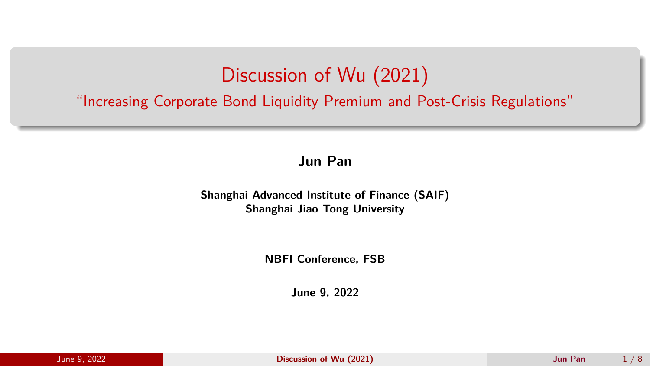## Discussion of Wu (2021)

<span id="page-0-0"></span>"Increasing Corporate Bond Liquidity Premium and Post-Crisis Regulations"

**Jun Pan**

**Shanghai Advanced Institute of Finance (SAIF) Shanghai Jiao Tong University**

**NBFI Conference, FSB**

**June 9, 2022**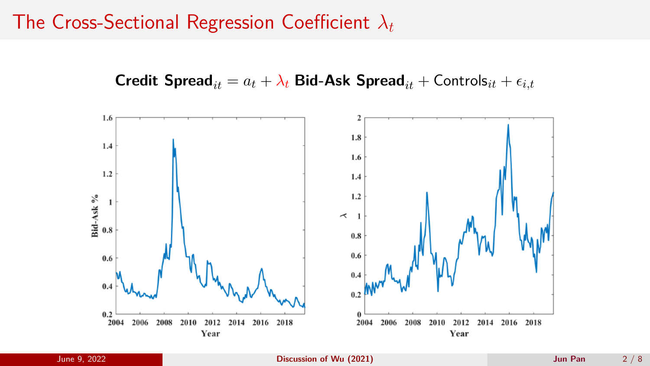### The Cross-Sectional Regression Coefficient *λ<sup>t</sup>*

**Credit Spread**<sub>*it*</sub> =  $a_t + \lambda_t$  **Bid-Ask Spread**<sub>*it*</sub> + Controls<sub>*it*</sub> +  $\epsilon_{i,t}$ 

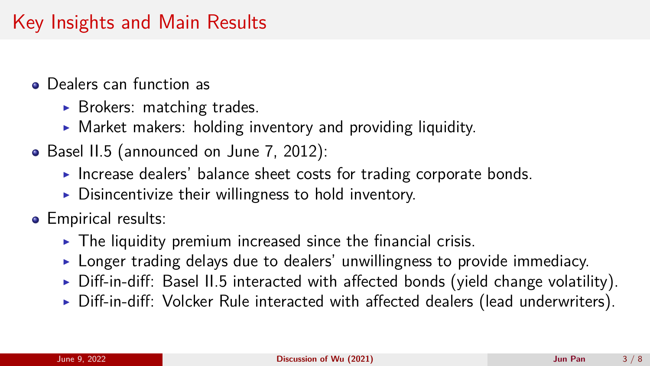## Key Insights and Main Results

- Dealers can function as
	- $\triangleright$  Brokers: matching trades.
	- $\triangleright$  Market makers: holding inventory and providing liquidity.
- Basel II.5 (announced on June 7, 2012):
	- ▶ Increase dealers' balance sheet costs for trading corporate bonds.
	- $\triangleright$  Disincentivize their willingness to hold inventory.
- Empirical results:
	- $\triangleright$  The liquidity premium increased since the financial crisis.
	- ▶ Longer trading delays due to dealers' unwillingness to provide immediacy.
	- $\triangleright$  Diff-in-diff: Basel II.5 interacted with affected bonds (yield change volatility).
	- $\triangleright$  Diff-in-diff: Volcker Rule interacted with affected dealers (lead underwriters).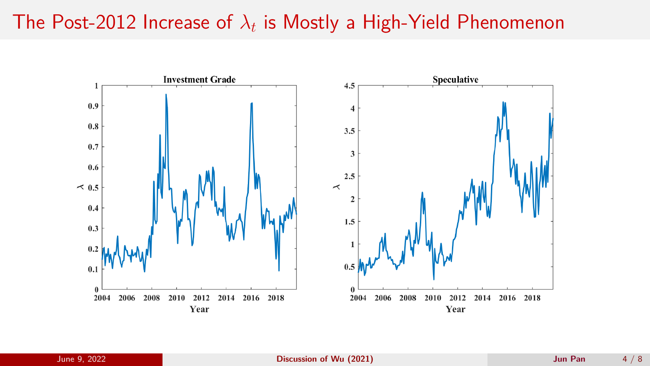# The Post-2012 Increase of  $\lambda_t$  is Mostly a High-Yield Phenomenon

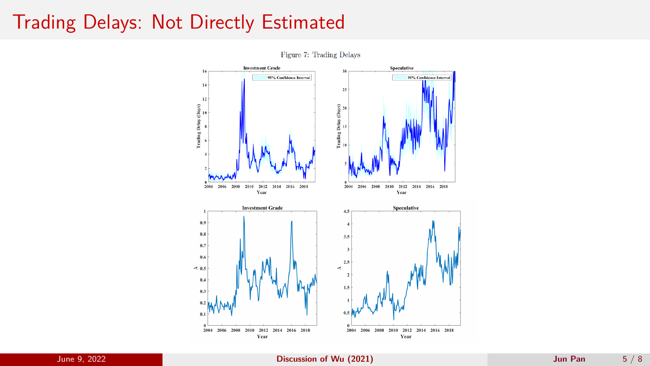## Trading Delays: Not Directly Estimated



Figure 7: Trading Delays

June 9, 2022 **[Discussion of Wu \(2021\)](#page-0-0) Jun Pan** 5 / 8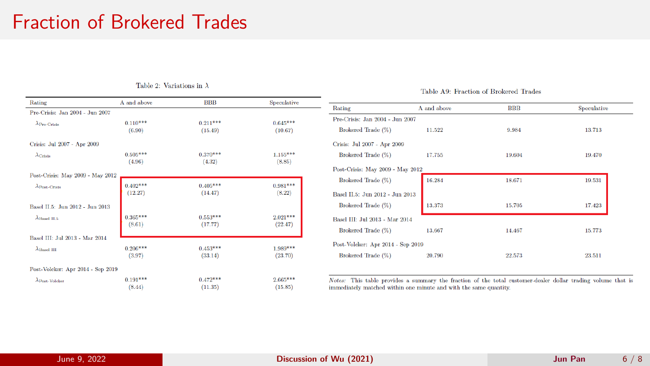### Fraction of Brokered Trades

| Rating                            | A and above           | <b>BBB</b>            | Speculative           |
|-----------------------------------|-----------------------|-----------------------|-----------------------|
| Pre-Crisis: Jan 2004 - Jun 2007   |                       |                       |                       |
| $\lambda$ Pre-Crisis              | $0.110***$<br>(6.90)  | $0.211***$<br>(15.49) | $0.645***$<br>(10.67) |
| Crisis: Jul 2007 - Apr 2009       |                       |                       |                       |
| $\lambda$ Crisis                  | $0.505***$<br>(4.96)  | $0.370***$<br>(4.32)  | $1.155***$<br>(8.85)  |
| Post-Crisis: May 2009 - May 2012  |                       |                       |                       |
| $\lambda$ Post-Crisis             | $0.402***$<br>(12.27) | $0.405***$<br>(14.47) | $0.981***$<br>(8.22)  |
| Basel II.5: Jun 2012 - Jun 2013   |                       |                       |                       |
| $\lambda$ Basel II.5              | $0.365***$<br>(8.61)  | $0.553***$<br>(17.77) | $2.021***$<br>(22.47) |
| Basel III: Jul 2013 - Mar 2014    |                       |                       |                       |
| $\lambda$ Basel III               | $0.206***$<br>(3.97)  | $0.453***$<br>(33.14) | $1.989***$<br>(23.70) |
| Post-Volcker: Apr 2014 - Sep 2019 |                       |                       |                       |
| $\lambda$ Post-Volcker            | $0.191***$<br>(8.44)  | $0.472***$<br>(11.35) | $2.665***$<br>(15.85) |

#### Table 2: Variations in  $\lambda$

#### Table A9: Fraction of Brokered Trades

| Rating                            | A and above | <b>BBB</b> | Speculative |  |
|-----------------------------------|-------------|------------|-------------|--|
| Pre-Crisis: Jan 2004 - Jun 2007   |             |            |             |  |
| Brokered Trade (%)                | 11.522      | 9.984      | 13.713      |  |
| Crisis: Jul 2007 - Apr 2009       |             |            |             |  |
| Brokered Trade (%)                | 17.755      | 19.604     | 19.470      |  |
| Post-Crisis: May 2009 - May 2012  |             |            |             |  |
| Brokered Trade (%)                | 16.284      | 18.671     | 19.531      |  |
| Basel II.5: Jun 2012 - Jun 2013   |             |            |             |  |
| Brokered Trade (%)                | 13.373      | 15.705     | 17.423      |  |
| Basel III: Jul 2013 - Mar 2014    |             |            |             |  |
| Brokered Trade (%)                | 13.667      | 14.467     | 15.773      |  |
| Post-Volcker: Apr 2014 - Sep 2019 |             |            |             |  |
| Brokered Trade (%)                | 20.790      | 22.573     | 23.511      |  |

Notes: This table provides a summary the fraction of the total customer-dealer dollar trading volume that is immediately matched within one minute and with the same quantity.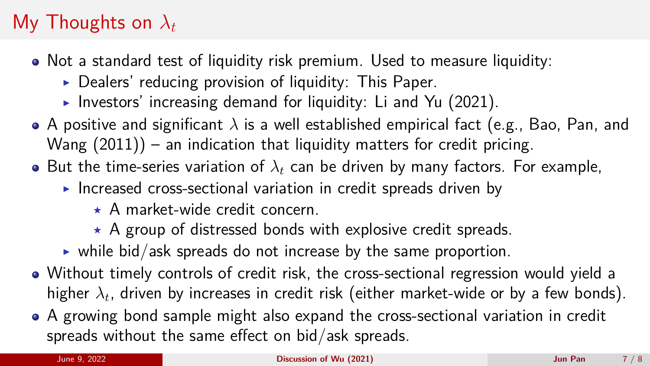# My Thoughts on *λ<sup>t</sup>*

- Not a standard test of liquidity risk premium. Used to measure liquidity:
	- $\triangleright$  Dealers' reducing provision of liquidity: This Paper.
	- $\blacktriangleright$  Investors' increasing demand for liquidity: Li and Yu (2021).
- A positive and significant *λ* is a well established empirical fact (e.g., Bao, Pan, and Wang  $(2011)$  – an indication that liquidity matters for credit pricing.
- **•** But the time-series variation of  $\lambda_t$  can be driven by many factors. For example,
	- ▶ Increased cross-sectional variation in credit spreads driven by
		- $\star$  A market-wide credit concern.
		- $\star$  A group of distressed bonds with explosive credit spreads.
	- $\triangleright$  while bid/ask spreads do not increase by the same proportion.
- Without timely controls of credit risk, the cross-sectional regression would yield a higher  $\lambda_t$ , driven by increases in credit risk (either market-wide or by a few bonds).
- A growing bond sample might also expand the cross-sectional variation in credit spreads without the same effect on bid/ask spreads.